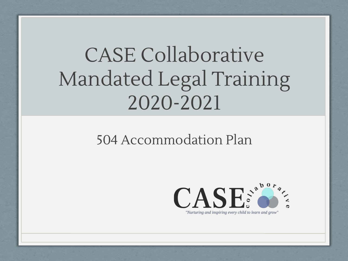### CASE Collaborative Mandated Legal Training 2020-2021

#### 504 Accommodation Plan

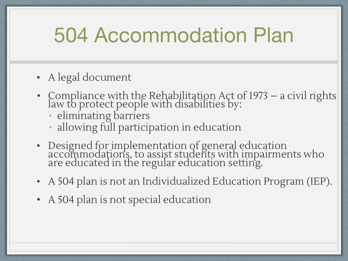#### 504 Accommodation Plan

- A legal document
- Compliance with the Rehabilitation Act of 1973 a civil rights law to protect people with disabilities by:
	- eliminating barriers
	- allowing full participation in education
- Designed for implementation of general education accommodations, to assist students with impairments who are educated in the regular education setting.
- A 504 plan is not an Individualized Education Program (IEP).
- A 504 plan is not special education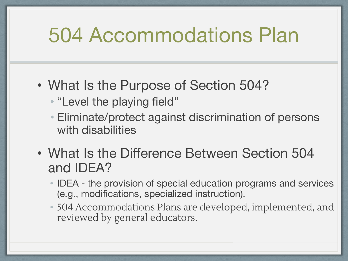#### 504 Accommodations Plan

- What Is the Purpose of Section 504?
	- "Level the playing field"
	- Eliminate/protect against discrimination of persons with disabilities
- What Is the Difference Between Section 504 and IDEA?
	- IDEA the provision of special education programs and services (e.g., modifications, specialized instruction).
	- 504 Accommodations Plans are developed, implemented, and reviewed by general educators.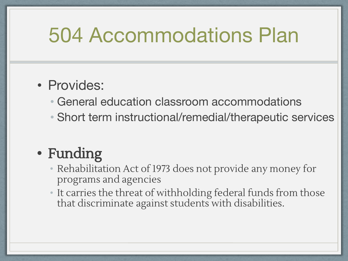#### 504 Accommodations Plan

#### • Provides:

- General education classroom accommodations
- Short term instructional/remedial/therapeutic services

#### **•** Funding

- Rehabilitation Act of 1973 does not provide any money for programs and agencies
- It carries the threat of withholding federal funds from those that discriminate against students with disabilities.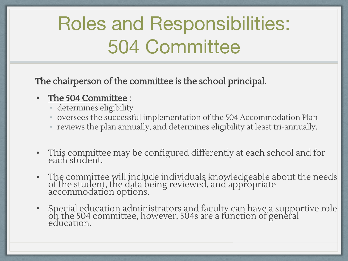#### Roles and Responsibilities: 504 Committee

The chairperson of the committee is the school principal.

#### **•** The 504 Committee :

- determines eligibility
- oversees the successful implementation of the 504 Accommodation Plan
- reviews the plan annually, and determines eligibility at least tri-annually.
- This committee may be configured differently at each school and for each student.
- The committee will include individuals knowledgeable about the needs of the student, the data being reviewed, and appropriate accommodation options.
- Special education administrators and faculty can have a supportive role on the 504 committee, however, 504s are a function of general education.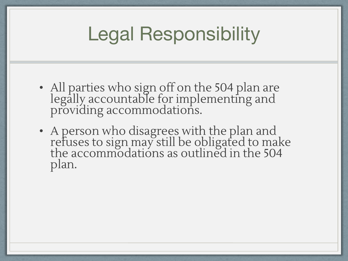#### Legal Responsibility

- All parties who sign off on the 504 plan are legally accountable for implementing and providing accommodations.
- A person who disagrees with the plan and refuses to sign may still be obligated to make the accommodations as outlined in the 504 plan.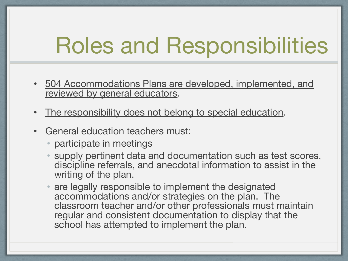## Roles and Responsibilities

- 504 Accommodations Plans are developed, implemented, and reviewed by general educators.
- The responsibility does not belong to special education.
- General education teachers must:
	- participate in meetings
	- supply pertinent data and documentation such as test scores, discipline referrals, and anecdotal information to assist in the writing of the plan.
	- are legally responsible to implement the designated accommodations and/or strategies on the plan. The classroom teacher and/or other professionals must maintain regular and consistent documentation to display that the school has attempted to implement the plan.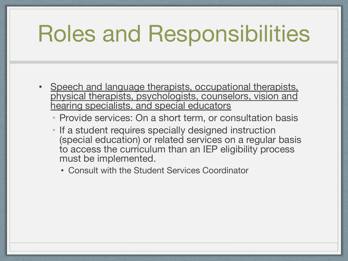## Roles and Responsibilities

- Speech and language therapists, occupational therapists, physical therapists, psychologists, counselors, vision and hearing specialists, and special educators
	- Provide services: On a short term, or consultation basis
	- If a student requires specially designed instruction (special education) or related services on a regular basis to access the curriculum than an IEP eligibility process must be implemented.
		- Consult with the Student Services Coordinator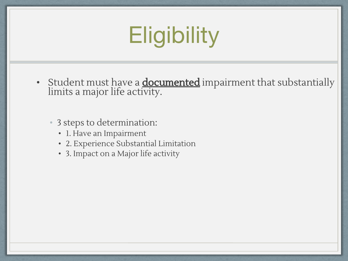# **Eligibility**

- Student must have a **documented** impairment that substantially limits a major life activity.
	- 3 steps to determination:
		- 1. Have an Impairment
		- 2. Experience Substantial Limitation
		- 3. Impact on a Major life activity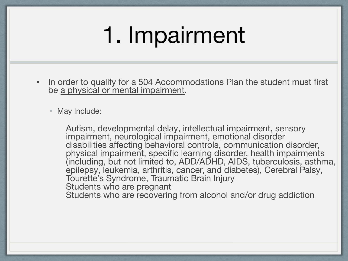# 1. Impairment

In order to qualify for a 504 Accommodations Plan the student must first be a physical or mental impairment.

May Include:

Autism, developmental delay, intellectual impairment, sensory impairment, neurological impairment, emotional disorder disabilities affecting behavioral controls, communication disorder, physical impairment, specific learning disorder, health impairments (including, but not limited to, ADD/ADHD, AIDS, tuberculosis, asthma, epilepsy, leukemia, arthritis, cancer, and diabetes), Cerebral Palsy, Tourette's Syndrome, Traumatic Brain Injury Students who are pregnant Students who are recovering from alcohol and/or drug addiction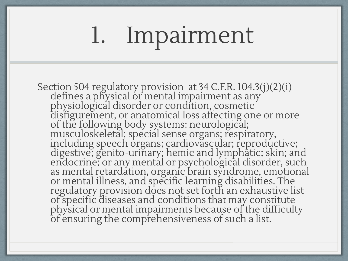# 1. Impairment

Section 504 regulatory provision at 34 C.F.R. 104.3(j)(2)(i) defines a physical or mental impairment as any physiological disorder or condition, cosmetic disfigurement, or anatomical loss affecting one or more of the following body systems: neurological; musculoskeletal; special sense organs; respiratory, including speech organs; cardiovascular; reproductive; digestive; genito-urinary; hemic and lymphatic; skin; and endocrine; or any mental or psychological disorder, such as mental retardation, organic brain syndrome, emotional or mental illness, and specific learning disabilities. The regulatory provision does not set forth an exhaustive list of specific diseases and conditions that may constitute physical or mental impairments because of the difficulty of ensuring the comprehensiveness of such a list.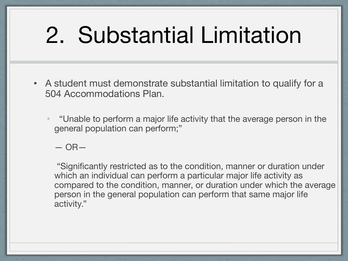# 2. Substantial Limitation

- A student must demonstrate substantial limitation to qualify for a 504 Accommodations Plan.
	- "Unable to perform a major life activity that the average person in the general population can perform;"

 $-$  OR $-$ 

 "Significantly restricted as to the condition, manner or duration under which an individual can perform a particular major life activity as compared to the condition, manner, or duration under which the average person in the general population can perform that same major life activity."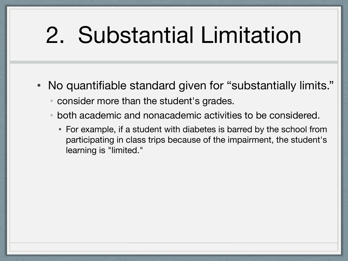# 2. Substantial Limitation

- No quantifiable standard given for "substantially limits."
	- consider more than the student's grades.
	- both academic and nonacademic activities to be considered.
		- For example, if a student with diabetes is barred by the school from participating in class trips because of the impairment, the student's learning is "limited."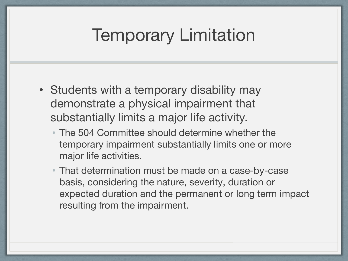#### Temporary Limitation

- Students with a temporary disability may demonstrate a physical impairment that substantially limits a major life activity.
	- The 504 Committee should determine whether the temporary impairment substantially limits one or more major life activities.
	- That determination must be made on a case-by-case basis, considering the nature, severity, duration or expected duration and the permanent or long term impact resulting from the impairment.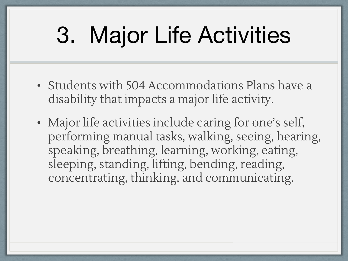# 3. Major Life Activities

- Students with 504 Accommodations Plans have a disability that impacts a major life activity.
- Major life activities include caring for one's self, performing manual tasks, walking, seeing, hearing, speaking, breathing, learning, working, eating, sleeping, standing, lifting, bending, reading, concentrating, thinking, and communicating.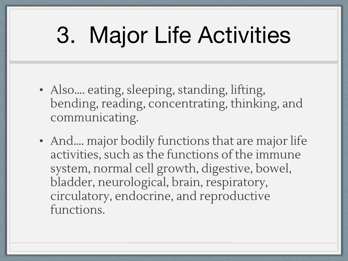# 3. Major Life Activities

- Also.... eating, sleeping, standing, lifting, bending, reading, concentrating, thinking, and communicating.
- And.... major bodily functions that are major life activities, such as the functions of the immune system, normal cell growth, digestive, bowel, bladder, neurological, brain, respiratory, circulatory, endocrine, and reproductive functions.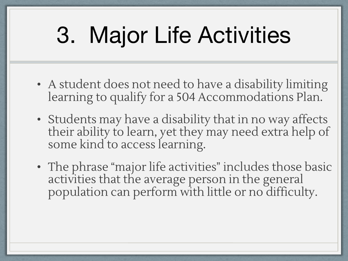# 3. Major Life Activities

- A student does not need to have a disability limiting learning to qualify for a 504 Accommodations Plan.
- Students may have a disability that in no way affects their ability to learn, yet they may need extra help of some kind to access learning.
- The phrase "major life activities" includes those basic activities that the average person in the general population can perform with little or no difficulty.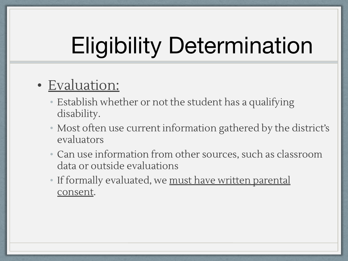# Eligibility Determination

#### • Evaluation:

- Establish whether or not the student has a qualifying disability.
- Most often use current information gathered by the district's evaluators
- Can use information from other sources, such as classroom data or outside evaluations
- If formally evaluated, we must have written parental consent.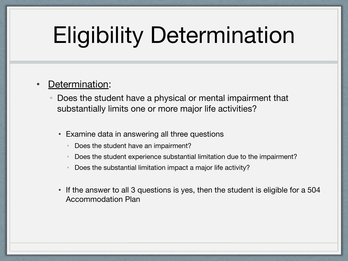# Eligibility Determination

#### Determination:

- Does the student have a physical or mental impairment that substantially limits one or more major life activities?
	- Examine data in answering all three questions
		- Does the student have an impairment?
		- Does the student experience substantial limitation due to the impairment?
		- Does the substantial limitation impact a major life activity?
	- If the answer to all 3 questions is yes, then the student is eligible for a 504 Accommodation Plan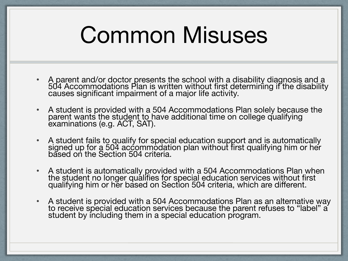## Common Misuses

- A parent and/or doctor presents the school with a disability diagnosis and a 504 Accommodations Plan is written without first determining if the disability causes significant impairment of a major life activity.
- A student is provided with a 504 Accommodations Plan solely because the parent wants the student to have additional time on college qualifying examinations (e.g. ACT, SAT).
- A student fails to qualify for special education support and is automatically signed up for a 504 accommodation plan without first qualifying him or her based on the Section 504 criteria.
- A student is automatically provided with a 504 Accommodations Plan when the student no longer qualifies for special education services without first qualifying him or her based on Section 504 criteria, which are different.
- A student is provided with a 504 Accommodations Plan as an alternative way to receive special education services because the parent refuses to "label" a student by including them in a special education program.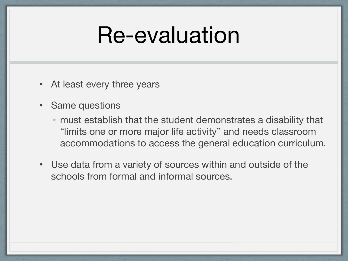### Re-evaluation

- At least every three years
- Same questions
	- must establish that the student demonstrates a disability that "limits one or more major life activity" and needs classroom accommodations to access the general education curriculum.
- Use data from a variety of sources within and outside of the schools from formal and informal sources.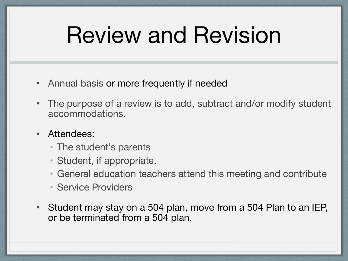## Review and Revision

- Annual basis or more frequently if needed
- The purpose of a review is to add, subtract and/or modify student accommodations.
- Attendees:
	- The student's parents
	- Student, if appropriate.
	- General education teachers attend this meeting and contribute
	- Service Providers
- Student may stay on a 504 plan, move from a 504 Plan to an IEP, or be terminated from a 504 plan.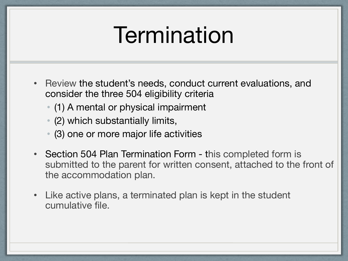### **Termination**

- Review the student's needs, conduct current evaluations, and consider the three 504 eligibility criteria
	- (1) A mental or physical impairment
	- (2) which substantially limits,
	- (3) one or more major life activities
- Section 504 Plan Termination Form this completed form is submitted to the parent for written consent, attached to the front of the accommodation plan.
- Like active plans, a terminated plan is kept in the student cumulative file.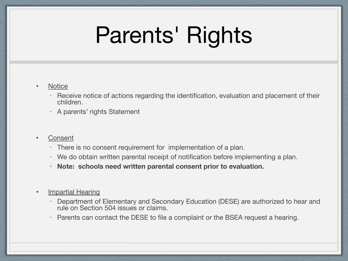# Parents' Rights

#### • Notice

- Receive notice of actions regarding the identification, evaluation and placement of their children.
- A parents' rights Statement

#### • Consent

- There is no consent requirement for implementation of a plan.
- We do obtain written parental receipt of notification before implementing a plan.
- **• Note: schools need written parental consent prior to evaluation.**

#### • Impartial Hearing

- Department of Elementary and Secondary Education (DESE) are authorized to hear and rule on Section 504 issues or claims.
- Parents can contact the DESE to file a complaint or the BSEA request a hearing.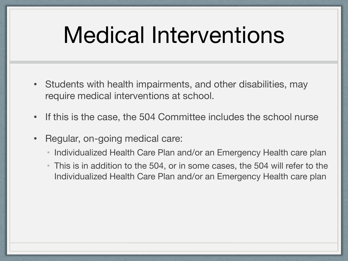## Medical Interventions

- Students with health impairments, and other disabilities, may require medical interventions at school.
- If this is the case, the 504 Committee includes the school nurse
- Regular, on-going medical care:
	- Individualized Health Care Plan and/or an Emergency Health care plan
	- This is in addition to the 504, or in some cases, the 504 will refer to the Individualized Health Care Plan and/or an Emergency Health care plan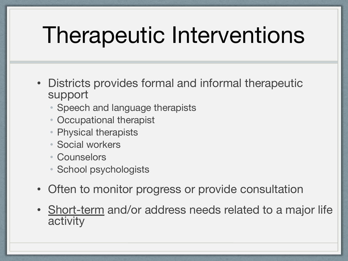# Therapeutic Interventions

- Districts provides formal and informal therapeutic support
	- Speech and language therapists
	- Occupational therapist
	- Physical therapists
	- Social workers
	- Counselors
	- School psychologists
- Often to monitor progress or provide consultation
- Short-term and/or address needs related to a major life activity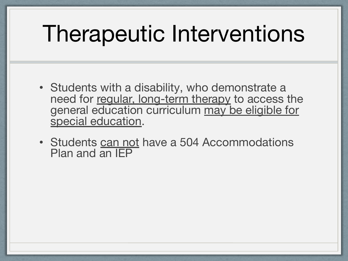## Therapeutic Interventions

- Students with a disability, who demonstrate a need for regular, long-term therapy to access the general education curriculum may be eligible for special education.
- Students can not have a 504 Accommodations Plan and an IEP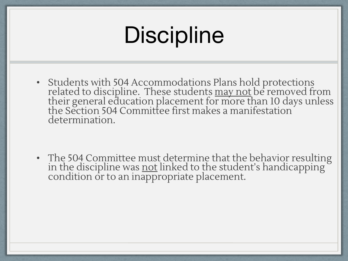# **Discipline**

• Students with 504 Accommodations Plans hold protections related to discipline. These students <u>may not</u> be removed from their general education placement for more than 10 days unless the Section 504 Committee first makes a manifestation  $\check{ }$ determination.

• The 504 Committee must determine that the behavior resulting in the discipline was <u>not</u> linked to the student's handicapping ` condition or to an inappropriate placement.